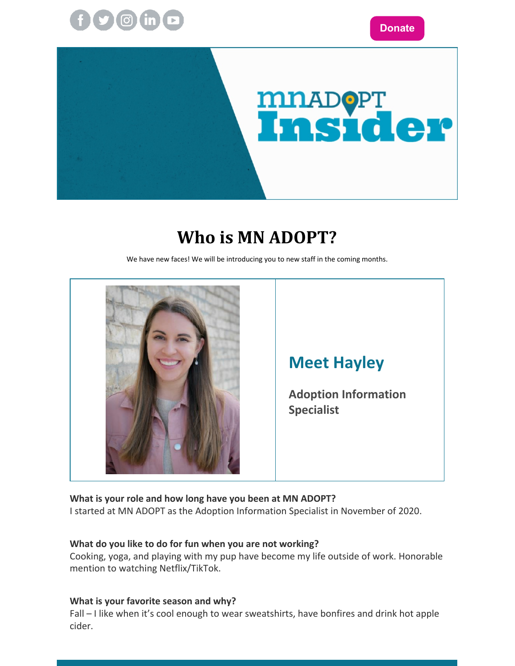



### **Who is MN ADOPT?**

We have new faces! We will be introducing you to new staff in the coming months.



#### **Meet Hayley**

**Adoption Information Specialist**

**What is your role and how long have you been at MN ADOPT?**

I started at MN ADOPT as the Adoption Information Specialist in November of 2020.

#### **What do you like to do for fun when you are not working?**

Cooking, yoga, and playing with my pup have become my life outside of work. Honorable mention to watching Netflix/TikTok.

#### **What is your favorite season and why?**

Fall – I like when it's cool enough to wear sweatshirts, have bonfires and drink hot apple cider.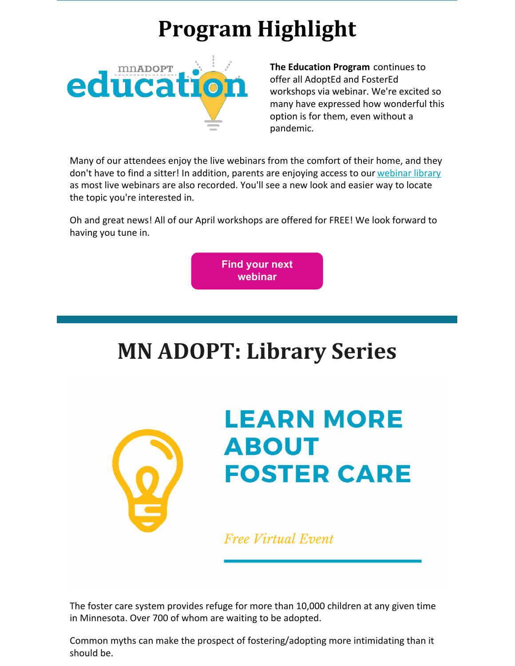# **Program Highlight**



**The Education Program** continues to offer all AdoptEd and FosterEd workshops via webinar. We're excited so many have expressed how wonderful this option is for them, even without a pandemic.

Many of our attendees enjoy the live webinars from the comfort of their home, and they don't have to find a sitter! In addition, parents are enjoying access to our [webinar](https://www.mnadopt.org/education/webinar-library/webinars-topic/) library as most live webinars are also recorded. You'll see a new look and easier way to locate the topic you're interested in.

Oh and great news! All of our April workshops are offered for FREE! We look forward to having you tune in.

> **Find your next [webinar](https://education.mnadopt.org/v2/?c=events)**

# **MN ADOPT: Library Series**



# **LEARN MORE ABOUT FOSTER CARE**

**Free Virtual Event** 

The foster care system provides refuge for more than 10,000 children at any given time in Minnesota. Over 700 of whom are waiting to be adopted.

Common myths can make the prospect of fostering/adopting more intimidating than it should be.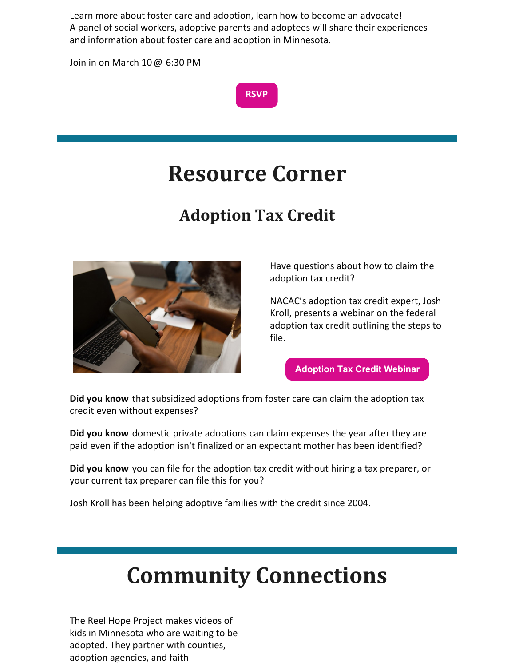Learn more about foster care and adoption, learn how to become an advocate! A panel of social workers, adoptive parents and adoptees will share their experiences and information about foster care and adoption in Minnesota.

Join in on March 10 @ 6:30 PM



## **Resource Corner**

### **Adoption Tax Credit**



Have questions about how to claim the adoption tax credit?

NACAC's adoption tax credit expert, Josh Kroll, presents a webinar on the federal adoption tax credit outlining the steps to file.

**[Adoption](https://www.nacac.org/resource/adoption-tax-credit/) Tax Credit Webinar**

**Did you know** that subsidized adoptions from foster care can claim the adoption tax credit even without expenses?

**Did you know** domestic private adoptions can claim expenses the year after they are paid even if the adoption isn't finalized or an expectant mother has been identified?

**Did you know** you can file for the adoption tax credit without hiring a tax preparer, or your current tax preparer can file this for you?

Josh Kroll has been helping adoptive families with the credit since 2004.

## **Community Connections**

The Reel Hope Project makes videos of kids in Minnesota who are waiting to be adopted. They partner with counties, adoption agencies, and faith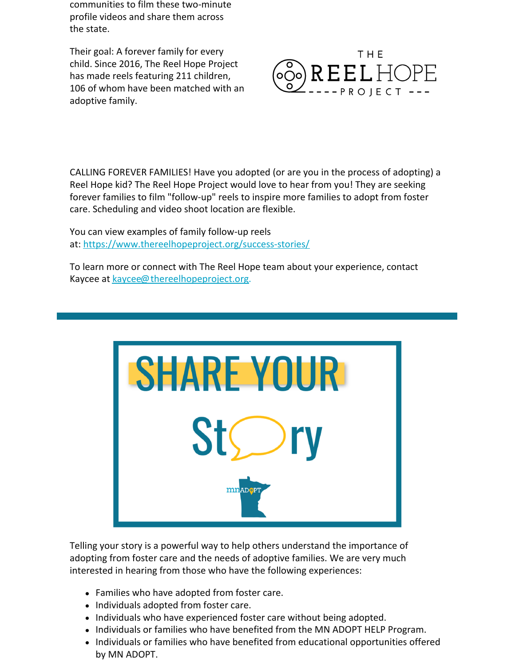communities to film these two-minute profile videos and share them across the state.

Their goal: A forever family for every child. Since 2016, The Reel Hope Project has made reels featuring 211 children, 106 of whom have been matched with an adoptive family.



CALLING FOREVER FAMILIES! Have you adopted (or are you in the process of adopting) a Reel Hope kid? The Reel Hope Project would love to hear from you! They are seeking forever families to film "follow-up" reels to inspire more families to adopt from foster care. Scheduling and video shoot location are flexible.

You can view examples of family follow-up reels at: <https://www.thereelhopeproject.org/success-stories/>

To learn more or connect with The Reel Hope team about your experience, contact Kaycee at [kaycee@thereelhopeproject.org](mailto:kaycee@thereelhopeproject.org).



Telling your story is a powerful way to help others understand the importance of adopting from foster care and the needs of adoptive families. We are very much interested in hearing from those who have the following experiences:

- Families who have adopted from foster care.
- Individuals adopted from foster care.
- Individuals who have experienced foster care without being adopted.
- Individuals or families who have benefited from the MN ADOPT HELP Program.
- Individuals or families who have benefited from educational opportunities offered by MN ADOPT.